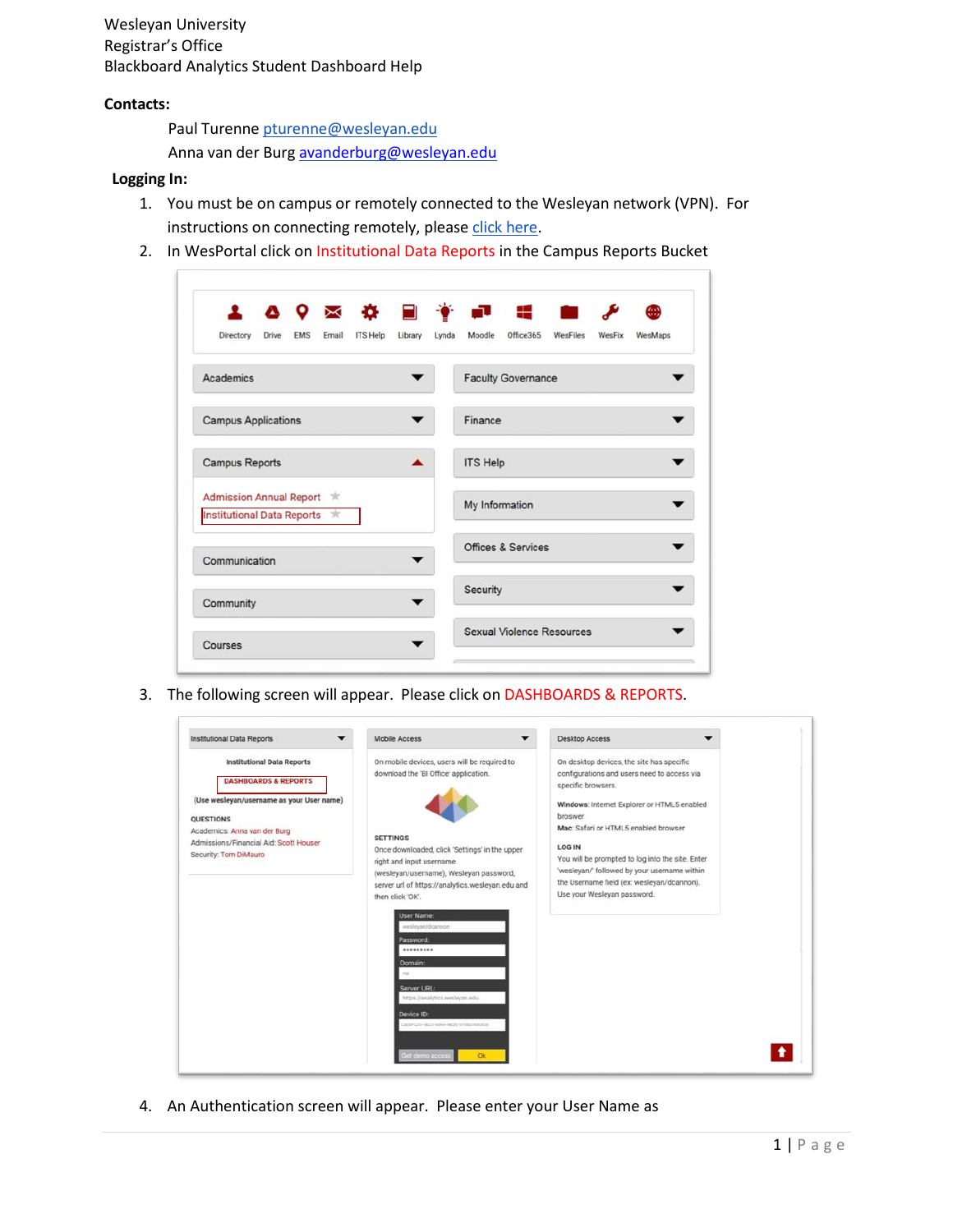Wesleyan University Registrar's Office Blackboard Analytics Student Dashboard Help

## **Contacts:**

Paul Turenne pturenne@wesleyan.edu

Anna van der Burg [avanderburg@wesleyan.edu](mailto:avanderburg@wesleyan.edu)

## **Logging In:**

- 1. You must be on campus or remotely connected to the Wesleyan network (VPN). For instructions on connecting remotely, please click [here.](http://www.wesleyan.edu/its/services/wireless/vpn.html)
- 2. In WesPortal click on Institutional Data Reports in the Campus Reports Bucket

| <b>4 8 9 ⊠ ☆ 目 * 記 : 曲</b>                                              |                                                               |
|-------------------------------------------------------------------------|---------------------------------------------------------------|
| <b>ITS Help</b><br><b>EMS</b><br>Email<br>Library<br>Directory<br>Drive | Office365<br>Moodle<br>WesFiles<br>WesFix<br>Lynda<br>WesMaps |
| Academics                                                               | <b>Faculty Governance</b>                                     |
| <b>Campus Applications</b>                                              | Finance                                                       |
| <b>Campus Reports</b>                                                   | <b>ITS Help</b>                                               |
| Admission Annual Report $\pi$<br>Institutional Data Reports 京           | My Information                                                |
| Communication                                                           | <b>Offices &amp; Services</b>                                 |
| Community                                                               | Security                                                      |
| Courses                                                                 | <b>Sexual Violence Resources</b>                              |

3. The following screen will appear. Please click on DASHBOARDS & REPORTS.



4. An Authentication screen will appear. Please enter your User Name as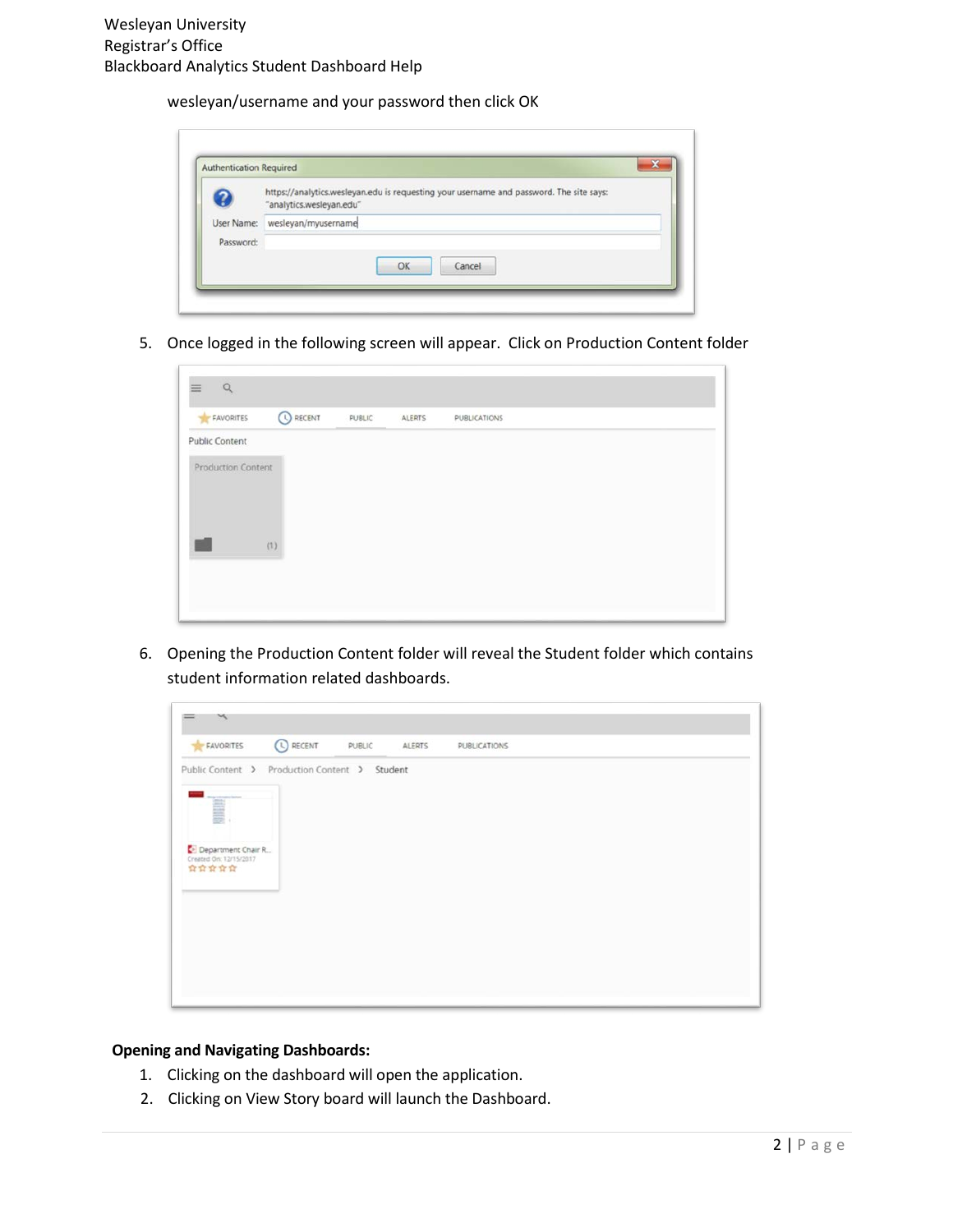wesleyan/username and your password then click OK

| z         | https://analytics.wesleyan.edu is requesting your username and password. The site says:<br>"analytics.wesleyan.edu" |  |  |  |
|-----------|---------------------------------------------------------------------------------------------------------------------|--|--|--|
|           | User Name: wesleyan/myusername                                                                                      |  |  |  |
| Password: |                                                                                                                     |  |  |  |

5. Once logged in the following screen will appear. Click on Production Content folder

| FAVORITES                 | <b>O RECENT</b> | PUBLIC | ALERTS | PUBLICATIONS |  |
|---------------------------|-----------------|--------|--------|--------------|--|
| Public Content            |                 |        |        |              |  |
| <b>Production Content</b> |                 |        |        |              |  |
|                           |                 |        |        |              |  |
|                           |                 |        |        |              |  |
|                           | (1)             |        |        |              |  |
|                           |                 |        |        |              |  |

6. Opening the Production Content folder will reveal the Student folder which contains student information related dashboards.



## **Opening and Navigating Dashboards:**

- 1. Clicking on the dashboard will open the application.
- 2. Clicking on View Story board will launch the Dashboard.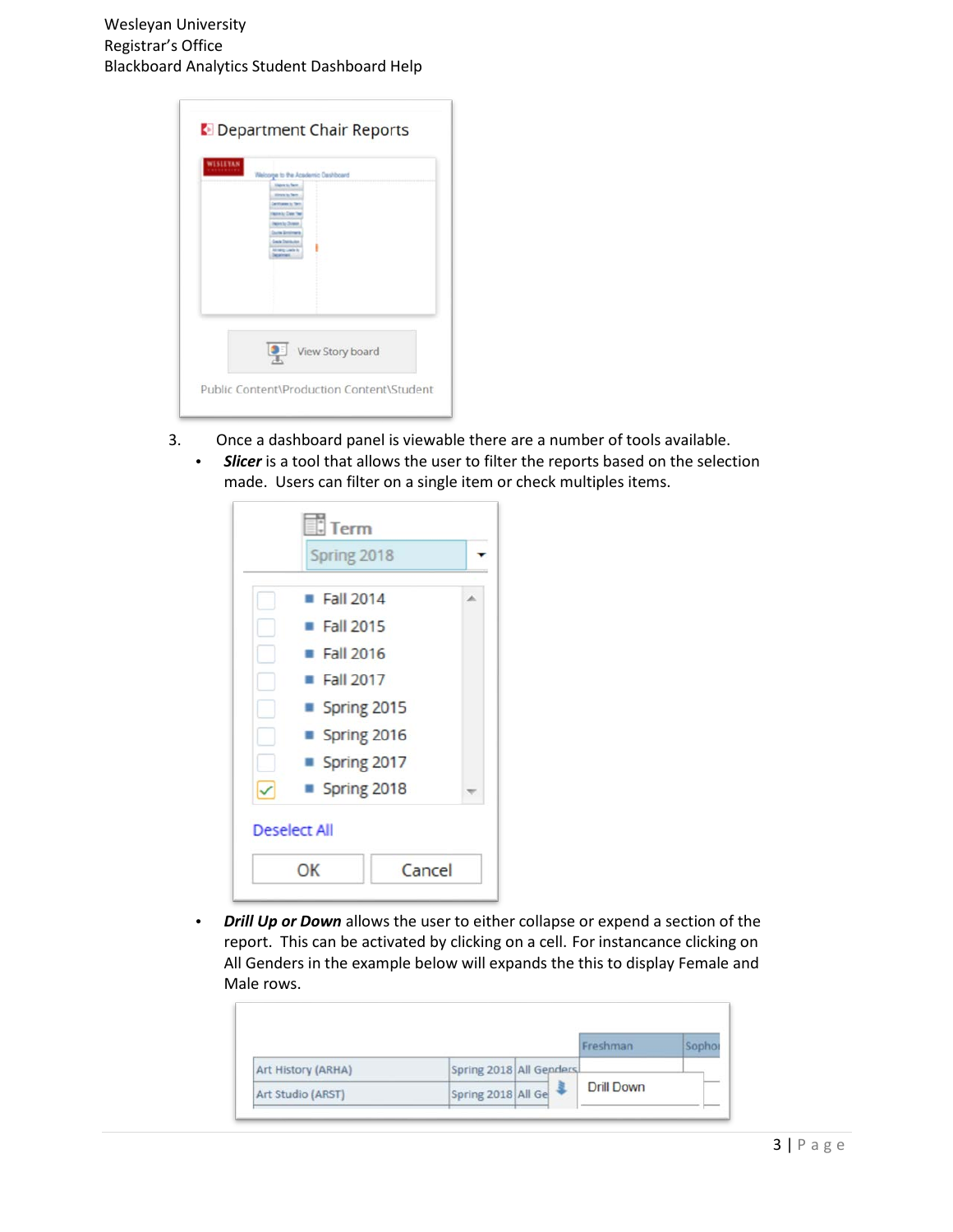Wesleyan University Registrar's Office Blackboard Analytics Student Dashboard Help

3. Once a dashboard panel is viewable there are a number of tools available. • *Slicer* is a tool that allows the user to filter the reports based on the selection made. Users can filter on a single item or check multiples items.

| Spring 2018         |        |    |
|---------------------|--------|----|
| Fall 2014           |        | a. |
| Fall 2015           |        |    |
| Fall 2016           |        |    |
| Fall 2017           |        |    |
| Spring 2015         |        |    |
| Spring 2016         |        |    |
| Spring 2017         |        |    |
| Spring 2018         |        |    |
| <b>Deselect All</b> |        |    |
| ОΚ                  | Cancel |    |

• *Drill Up or Down* allows the user to either collapse or expend a section of the report. This can be activated by clicking on a cell. For instancance clicking on All Genders in the example below will expands the this to display Female and Male rows.

|                    |                         | Freshman   |  |
|--------------------|-------------------------|------------|--|
| Art History (ARHA) | Spring 2018 All Genders |            |  |
| Art Studio (ARST)  | Spring 2018 All Ge      | Drill Down |  |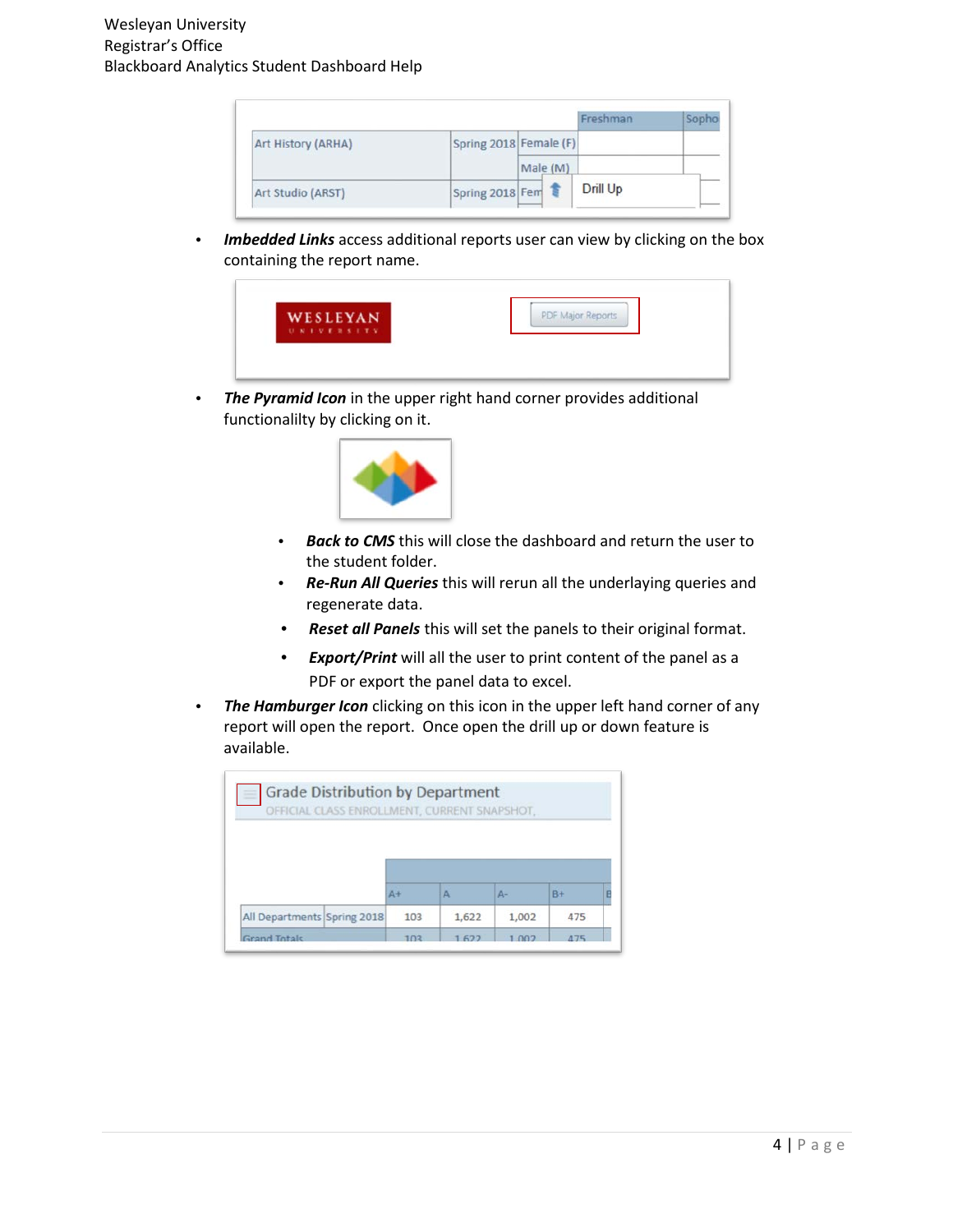|                    |                                    | Freshman |  |
|--------------------|------------------------------------|----------|--|
| Art History (ARHA) | Spring 2018 Female (F)<br>Male (M) |          |  |
|                    |                                    |          |  |
| Art Studio (ARST)  | Spring 2018 Fem                    | Drill Up |  |

• *Imbedded Links* access additional reports user can view by clicking on the box containing the report name.



• The Pyramid Icon in the upper right hand corner provides additional functionalilty by clicking on it.



- *Back to CMS* this will close the dashboard and return the user to the student folder.
- *Re-Run All Queries* this will rerun all the underlaying queries and regenerate data.
- *Reset all Panels* this will set the panels to their original format.
- *Export/Print* will all the user to print content of the panel as a PDF or export the panel data to excel.
- *The Hamburger Icon* clicking on this icon in the upper left hand corner of any report will open the report. Once open the drill up or down feature is available.

|                             | $\Delta +$ | Α     | Д-    | $B+$ |  |
|-----------------------------|------------|-------|-------|------|--|
|                             |            |       |       |      |  |
| All Departments Spring 2018 | 103        | 1,622 | 1,002 | 475  |  |